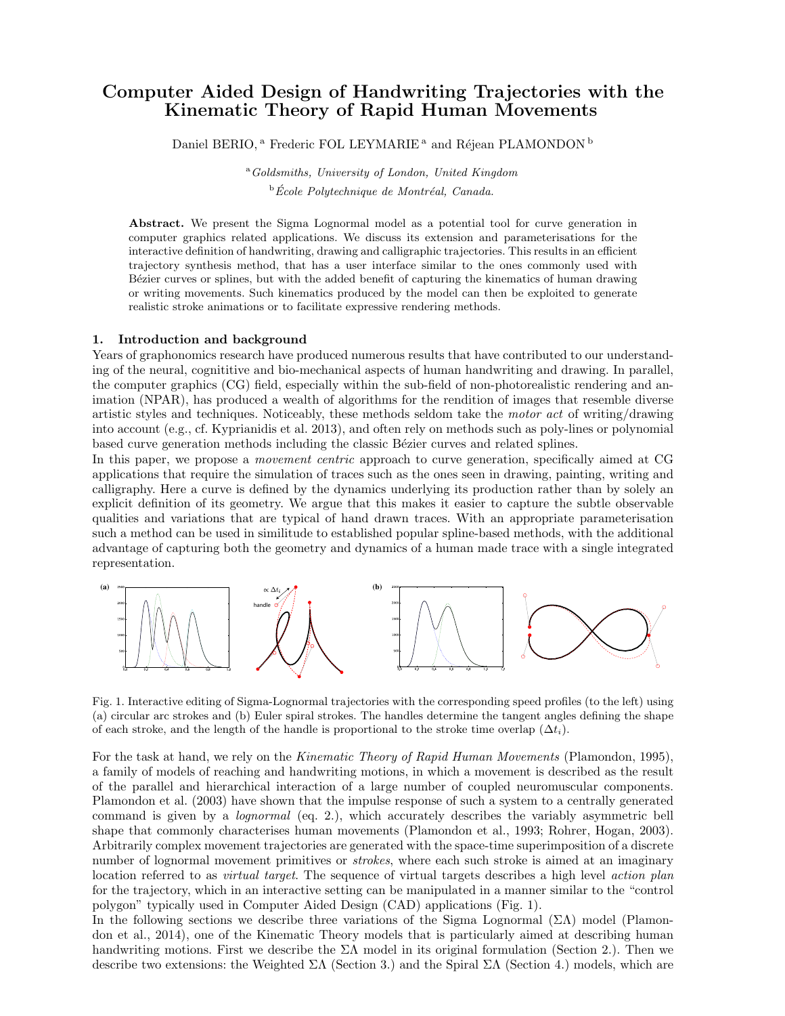# Computer Aided Design of Handwriting Trajectories with the Kinematic Theory of Rapid Human Movements

Daniel BERIO,<sup>a</sup> Frederic FOL LEYMARIE<sup>a</sup> and Réjean PLAMONDON<sup>b</sup>

<sup>a</sup>Goldsmiths, University of London, United Kingdom  $\Phi$ École Polytechnique de Montréal, Canada.

Abstract. We present the Sigma Lognormal model as a potential tool for curve generation in computer graphics related applications. We discuss its extension and parameterisations for the interactive definition of handwriting, drawing and calligraphic trajectories. This results in an efficient trajectory synthesis method, that has a user interface similar to the ones commonly used with Bézier curves or splines, but with the added benefit of capturing the kinematics of human drawing or writing movements. Such kinematics produced by the model can then be exploited to generate realistic stroke animations or to facilitate expressive rendering methods.

# 1. Introduction and background

Years of graphonomics research have produced numerous results that have contributed to our understanding of the neural, cognititive and bio-mechanical aspects of human handwriting and drawing. In parallel, the computer graphics (CG) field, especially within the sub-field of non-photorealistic rendering and animation (NPAR), has produced a wealth of algorithms for the rendition of images that resemble diverse artistic styles and techniques. Noticeably, these methods seldom take the motor act of writing/drawing into account (e.g., cf. Kyprianidis et al. 2013), and often rely on methods such as poly-lines or polynomial based curve generation methods including the classic Bézier curves and related splines.

In this paper, we propose a movement centric approach to curve generation, specifically aimed at CG applications that require the simulation of traces such as the ones seen in drawing, painting, writing and calligraphy. Here a curve is defined by the dynamics underlying its production rather than by solely an explicit definition of its geometry. We argue that this makes it easier to capture the subtle observable qualities and variations that are typical of hand drawn traces. With an appropriate parameterisation such a method can be used in similitude to established popular spline-based methods, with the additional advantage of capturing both the geometry and dynamics of a human made trace with a single integrated representation.



Fig. 1. Interactive editing of Sigma-Lognormal trajectories with the corresponding speed profiles (to the left) using (a) circular arc strokes and (b) Euler spiral strokes. The handles determine the tangent angles defining the shape of each stroke, and the length of the handle is proportional to the stroke time overlap  $(\Delta t_i)$ .

For the task at hand, we rely on the Kinematic Theory of Rapid Human Movements (Plamondon, 1995), a family of models of reaching and handwriting motions, in which a movement is described as the result of the parallel and hierarchical interaction of a large number of coupled neuromuscular components. Plamondon et al. (2003) have shown that the impulse response of such a system to a centrally generated command is given by a lognormal (eq. 2.), which accurately describes the variably asymmetric bell shape that commonly characterises human movements (Plamondon et al., 1993; Rohrer, Hogan, 2003). Arbitrarily complex movement trajectories are generated with the space-time superimposition of a discrete number of lognormal movement primitives or *strokes*, where each such stroke is aimed at an imaginary location referred to as *virtual target*. The sequence of virtual targets describes a high level *action plan* for the trajectory, which in an interactive setting can be manipulated in a manner similar to the "control polygon" typically used in Computer Aided Design (CAD) applications (Fig. 1).

In the following sections we describe three variations of the Sigma Lognormal  $(\Sigma \Lambda)$  model (Plamondon et al., 2014), one of the Kinematic Theory models that is particularly aimed at describing human handwriting motions. First we describe the  $\Sigma\Lambda$  model in its original formulation (Section 2.). Then we describe two extensions: the Weighted  $\Sigma\Lambda$  (Section 3.) and the Spiral  $\Sigma\Lambda$  (Section 4.) models, which are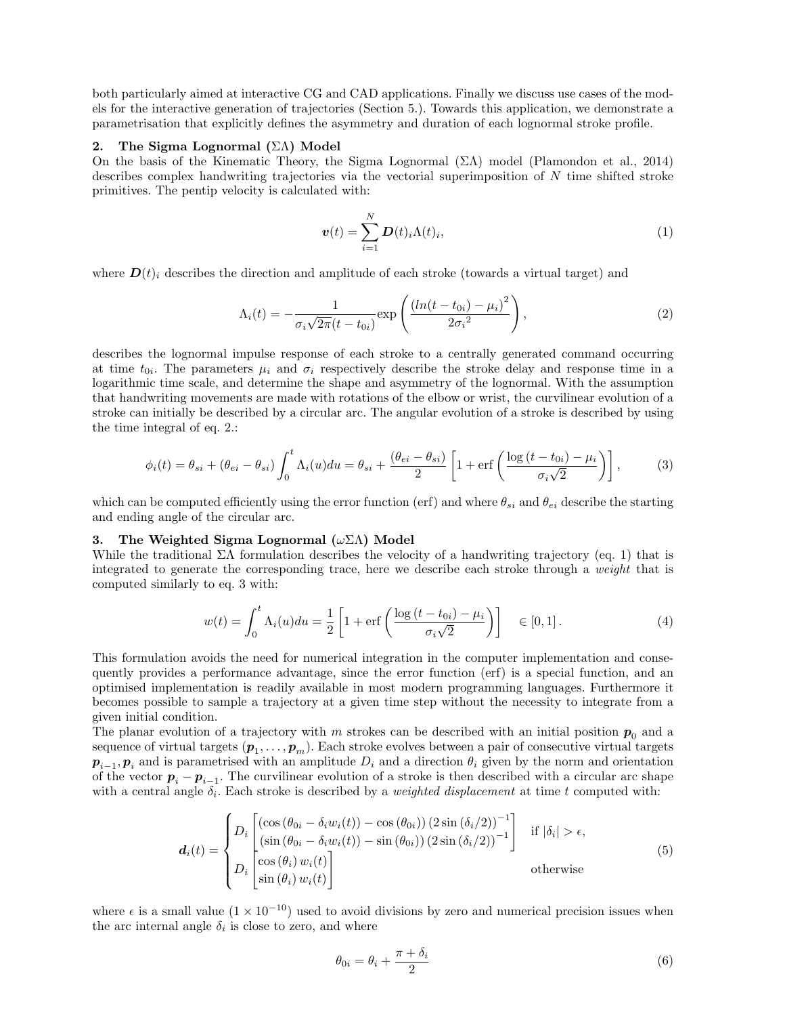both particularly aimed at interactive CG and CAD applications. Finally we discuss use cases of the models for the interactive generation of trajectories (Section 5.). Towards this application, we demonstrate a parametrisation that explicitly defines the asymmetry and duration of each lognormal stroke profile.

### 2. The Sigma Lognormal (ΣΛ) Model

On the basis of the Kinematic Theory, the Sigma Lognormal  $(\Sigma \Lambda)$  model (Plamondon et al., 2014) describes complex handwriting trajectories via the vectorial superimposition of N time shifted stroke primitives. The pentip velocity is calculated with:

$$
\boldsymbol{v}(t) = \sum_{i=1}^{N} \boldsymbol{D}(t)_i \Lambda(t)_i, \qquad (1)
$$

where  $\mathbf{D}(t)$  describes the direction and amplitude of each stroke (towards a virtual target) and

$$
\Lambda_i(t) = -\frac{1}{\sigma_i \sqrt{2\pi} (t - t_{0i})} \exp\left(\frac{(ln(t - t_{0i}) - \mu_i)^2}{2\sigma_i^2}\right),
$$
\n(2)

describes the lognormal impulse response of each stroke to a centrally generated command occurring at time  $t_{0i}$ . The parameters  $\mu_i$  and  $\sigma_i$  respectively describe the stroke delay and response time in a logarithmic time scale, and determine the shape and asymmetry of the lognormal. With the assumption that handwriting movements are made with rotations of the elbow or wrist, the curvilinear evolution of a stroke can initially be described by a circular arc. The angular evolution of a stroke is described by using the time integral of eq. 2.:

$$
\phi_i(t) = \theta_{si} + (\theta_{ei} - \theta_{si}) \int_0^t \Lambda_i(u) du = \theta_{si} + \frac{(\theta_{ei} - \theta_{si})}{2} \left[ 1 + \text{erf}\left(\frac{\log\left(t - t_{0i}\right) - \mu_i}{\sigma_i \sqrt{2}}\right) \right],\tag{3}
$$

which can be computed efficiently using the error function (erf) and where  $\theta_{si}$  and  $\theta_{ei}$  describe the starting and ending angle of the circular arc.

# 3. The Weighted Sigma Lognormal  $(\omega \Sigma \Lambda)$  Model

While the traditional  $\Sigma\Lambda$  formulation describes the velocity of a handwriting trajectory (eq. 1) that is integrated to generate the corresponding trace, here we describe each stroke through a weight that is computed similarly to eq. 3 with:

$$
w(t) = \int_0^t \Lambda_i(u) du = \frac{1}{2} \left[ 1 + \text{erf}\left( \frac{\log\left(t - t_{0i}\right) - \mu_i}{\sigma_i \sqrt{2}} \right) \right] \quad \in [0, 1]. \tag{4}
$$

This formulation avoids the need for numerical integration in the computer implementation and consequently provides a performance advantage, since the error function (erf) is a special function, and an optimised implementation is readily available in most modern programming languages. Furthermore it becomes possible to sample a trajectory at a given time step without the necessity to integrate from a given initial condition.

The planar evolution of a trajectory with m strokes can be described with an initial position  $p_0$  and a sequence of virtual targets  $(\bm{p}_1,\ldots,\bm{p}_m)$ . Each stroke evolves between a pair of consecutive virtual targets  $p_{i-1}, p_i$  and is parametrised with an amplitude  $D_i$  and a direction  $\theta_i$  given by the norm and orientation of the vector  $p_i - p_{i-1}$ . The curvilinear evolution of a stroke is then described with a circular arc shape with a central angle  $\delta_i$ . Each stroke is described by a *weighted displacement* at time t computed with:

$$
\boldsymbol{d}_{i}(t) = \begin{cases} D_{i} \begin{bmatrix} (\cos\left(\theta_{0i} - \delta_{i} w_{i}(t)\right) - \cos\left(\theta_{0i}\right) \left(2 \sin\left(\delta_{i}/2\right)\right)^{-1} \\ (\sin\left(\theta_{0i} - \delta_{i} w_{i}(t)\right) - \sin\left(\theta_{0i}\right) \left(2 \sin\left(\delta_{i}/2\right)\right)^{-1} \end{bmatrix} & \text{if } |\delta_{i}| > \epsilon, \\ D_{i} \begin{bmatrix} \cos\left(\theta_{i}\right) w_{i}(t) \\ \sin\left(\theta_{i}\right) w_{i}(t) \end{bmatrix} & \text{otherwise} \end{cases}
$$
(5)

where  $\epsilon$  is a small value  $(1 \times 10^{-10})$  used to avoid divisions by zero and numerical precision issues when the arc internal angle  $\delta_i$  is close to zero, and where

$$
\theta_{0i} = \theta_i + \frac{\pi + \delta_i}{2} \tag{6}
$$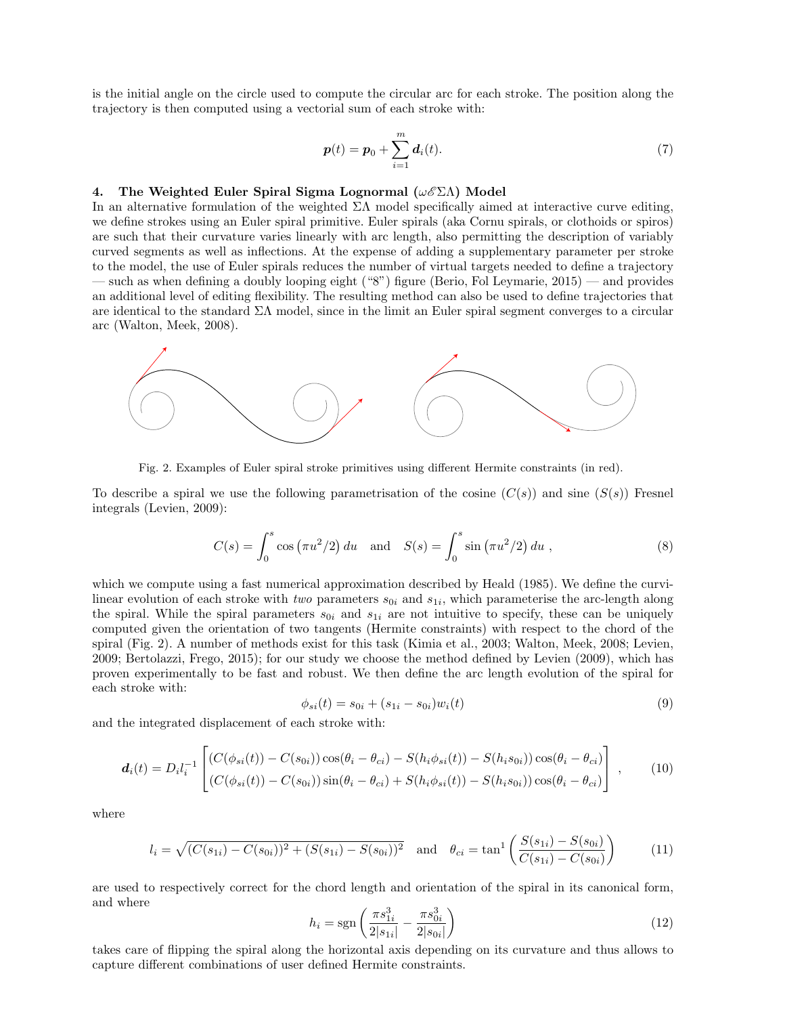is the initial angle on the circle used to compute the circular arc for each stroke. The position along the trajectory is then computed using a vectorial sum of each stroke with:

$$
p(t) = p_0 + \sum_{i=1}^{m} d_i(t).
$$
 (7)

# 4. The Weighted Euler Spiral Sigma Lognormal  $(\omega \mathscr{E} \Sigma \Lambda)$  Model

In an alternative formulation of the weighted  $\Sigma\Lambda$  model specifically aimed at interactive curve editing, we define strokes using an Euler spiral primitive. Euler spirals (aka Cornu spirals, or clothoids or spiros) are such that their curvature varies linearly with arc length, also permitting the description of variably curved segments as well as inflections. At the expense of adding a supplementary parameter per stroke to the model, the use of Euler spirals reduces the number of virtual targets needed to define a trajectory — such as when defining a doubly looping eight ("8") figure (Berio, Fol Leymarie, 2015) — and provides an additional level of editing flexibility. The resulting method can also be used to define trajectories that are identical to the standard  $\Sigma\Lambda$  model, since in the limit an Euler spiral segment converges to a circular arc (Walton, Meek, 2008).



Fig. 2. Examples of Euler spiral stroke primitives using different Hermite constraints (in red).

To describe a spiral we use the following parametrisation of the cosine  $(C(s))$  and sine  $(S(s))$  Fresnel integrals (Levien, 2009):

$$
C(s) = \int_0^s \cos(\pi u^2/2) du \text{ and } S(s) = \int_0^s \sin(\pi u^2/2) du,
$$
 (8)

which we compute using a fast numerical approximation described by Heald (1985). We define the curvilinear evolution of each stroke with *two* parameters  $s_{0i}$  and  $s_{1i}$ , which parameterise the arc-length along the spiral. While the spiral parameters  $s_{0i}$  and  $s_{1i}$  are not intuitive to specify, these can be uniquely computed given the orientation of two tangents (Hermite constraints) with respect to the chord of the spiral (Fig. 2). A number of methods exist for this task (Kimia et al., 2003; Walton, Meek, 2008; Levien, 2009; Bertolazzi, Frego, 2015); for our study we choose the method defined by Levien (2009), which has proven experimentally to be fast and robust. We then define the arc length evolution of the spiral for each stroke with:

$$
\phi_{si}(t) = s_{0i} + (s_{1i} - s_{0i})w_i(t) \tag{9}
$$

and the integrated displacement of each stroke with:

$$
\boldsymbol{d}_{i}(t) = D_{i}l_{i}^{-1} \begin{bmatrix} (C(\phi_{si}(t)) - C(s_{0i})) \cos(\theta_{i} - \theta_{ci}) - S(h_{i}\phi_{si}(t)) - S(h_{i}s_{0i})) \cos(\theta_{i} - \theta_{ci}) \\ (C(\phi_{si}(t)) - C(s_{0i})) \sin(\theta_{i} - \theta_{ci}) + S(h_{i}\phi_{si}(t)) - S(h_{i}s_{0i})) \cos(\theta_{i} - \theta_{ci}) \end{bmatrix},
$$
(10)

where

$$
l_i = \sqrt{(C(s_{1i}) - C(s_{0i}))^2 + (S(s_{1i}) - S(s_{0i}))^2}
$$
 and  $\theta_{ci} = \tan^1 \left( \frac{S(s_{1i}) - S(s_{0i})}{C(s_{1i}) - C(s_{0i})} \right)$  (11)

are used to respectively correct for the chord length and orientation of the spiral in its canonical form, and where

$$
h_i = \text{sgn}\left(\frac{\pi s_{1i}^3}{2|s_{1i}|} - \frac{\pi s_{0i}^3}{2|s_{0i}|}\right) \tag{12}
$$

takes care of flipping the spiral along the horizontal axis depending on its curvature and thus allows to capture different combinations of user defined Hermite constraints.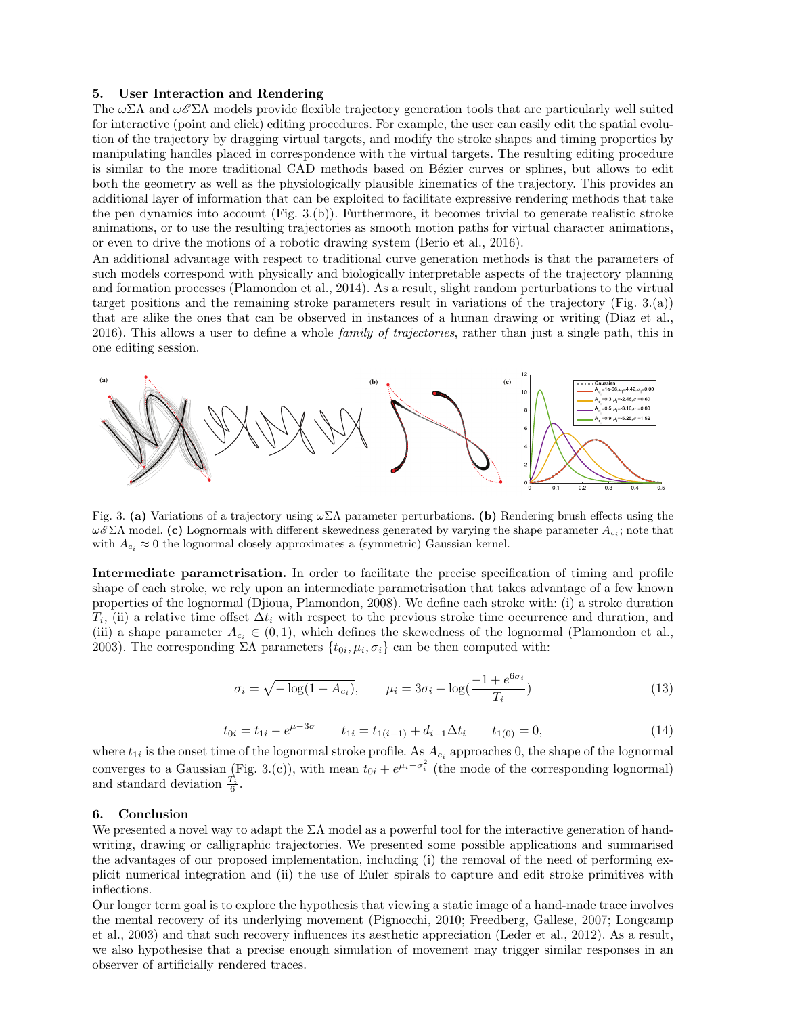### 5. User Interaction and Rendering

The  $\omega\Sigma\Lambda$  and  $\omega\mathscr{E}\Sigma\Lambda$  models provide flexible trajectory generation tools that are particularly well suited for interactive (point and click) editing procedures. For example, the user can easily edit the spatial evolution of the trajectory by dragging virtual targets, and modify the stroke shapes and timing properties by manipulating handles placed in correspondence with the virtual targets. The resulting editing procedure is similar to the more traditional CAD methods based on Bézier curves or splines, but allows to edit both the geometry as well as the physiologically plausible kinematics of the trajectory. This provides an additional layer of information that can be exploited to facilitate expressive rendering methods that take the pen dynamics into account (Fig. 3.(b)). Furthermore, it becomes trivial to generate realistic stroke animations, or to use the resulting trajectories as smooth motion paths for virtual character animations, or even to drive the motions of a robotic drawing system (Berio et al., 2016).

An additional advantage with respect to traditional curve generation methods is that the parameters of such models correspond with physically and biologically interpretable aspects of the trajectory planning and formation processes (Plamondon et al., 2014). As a result, slight random perturbations to the virtual target positions and the remaining stroke parameters result in variations of the trajectory (Fig. 3.(a)) that are alike the ones that can be observed in instances of a human drawing or writing (Diaz et al., 2016). This allows a user to define a whole *family of trajectories*, rather than just a single path, this in one editing session.



Fig. 3. (a) Variations of a trajectory using  $\omega \Sigma \Lambda$  parameter perturbations. (b) Rendering brush effects using the ω $\mathscr{E} \Sigma \Lambda$  model. (c) Lognormals with different skewedness generated by varying the shape parameter  $A_{c_i}$ ; note that with  $A_{c_i} \approx 0$  the lognormal closely approximates a (symmetric) Gaussian kernel.

Intermediate parametrisation. In order to facilitate the precise specification of timing and profile shape of each stroke, we rely upon an intermediate parametrisation that takes advantage of a few known properties of the lognormal (Djioua, Plamondon, 2008). We define each stroke with: (i) a stroke duration  $T_i$ , (ii) a relative time offset  $\Delta t_i$  with respect to the previous stroke time occurrence and duration, and (iii) a shape parameter  $A_{c_i} \in (0,1)$ , which defines the skewedness of the lognormal (Plamondon et al., 2003). The corresponding  $\Sigma\Lambda$  parameters  $\{t_{0i}, \mu_i, \sigma_i\}$  can be then computed with:

$$
\sigma_i = \sqrt{-\log(1 - A_{c_i})}, \qquad \mu_i = 3\sigma_i - \log(\frac{-1 + e^{6\sigma_i}}{T_i})
$$
\n(13)

$$
t_{0i} = t_{1i} - e^{\mu - 3\sigma} \qquad t_{1i} = t_{1(i-1)} + d_{i-1}\Delta t_i \qquad t_{1(0)} = 0,
$$
\n(14)

where  $t_{1i}$  is the onset time of the lognormal stroke profile. As  $A_{c_i}$  approaches 0, the shape of the lognormal converges to a Gaussian (Fig. 3.(c)), with mean  $t_{0i} + e^{\mu_i - \sigma_i^2}$  (the mode of the corresponding lognormal) and standard deviation  $\frac{T_i}{6}$ .

#### 6. Conclusion

We presented a novel way to adapt the  $\Sigma\Lambda$  model as a powerful tool for the interactive generation of handwriting, drawing or calligraphic trajectories. We presented some possible applications and summarised the advantages of our proposed implementation, including (i) the removal of the need of performing explicit numerical integration and (ii) the use of Euler spirals to capture and edit stroke primitives with inflections.

Our longer term goal is to explore the hypothesis that viewing a static image of a hand-made trace involves the mental recovery of its underlying movement (Pignocchi, 2010; Freedberg, Gallese, 2007; Longcamp et al., 2003) and that such recovery influences its aesthetic appreciation (Leder et al., 2012). As a result, we also hypothesise that a precise enough simulation of movement may trigger similar responses in an observer of artificially rendered traces.